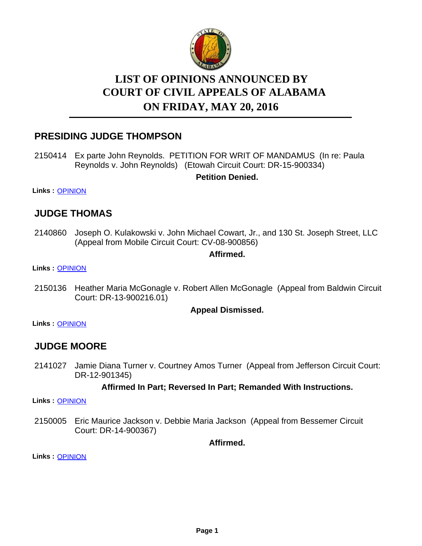

# **LIST OF OPINIONS ANNOUNCED BY ON FRIDAY, MAY 20, 2016 COURT OF CIVIL APPEALS OF ALABAMA**

### **PRESIDING JUDGE THOMPSON**

2150414 Ex parte John Reynolds. PETITION FOR WRIT OF MANDAMUS (In re: Paula Reynolds v. John Reynolds) (Etowah Circuit Court: DR-15-900334) **Petition Denied.**

**Links :** [OPINION](https://acis.alabama.gov/displaydocs.cfm?no=737066&event=4N10JTIFA)

### **JUDGE THOMAS**

2140860 Joseph O. Kulakowski v. John Michael Cowart, Jr., and 130 St. Joseph Street, LLC (Appeal from Mobile Circuit Court: CV-08-900856)

### **Affirmed.**

**Links :** [OPINION](https://acis.alabama.gov/displaydocs.cfm?no=737059&event=4N10JTH5S)

2150136 Heather Maria McGonagle v. Robert Allen McGonagle (Appeal from Baldwin Circuit Court: DR-13-900216.01)

#### **Appeal Dismissed.**

**Links :** [OPINION](https://acis.alabama.gov/displaydocs.cfm?no=737063&event=4N10JTHW9)

### **JUDGE MOORE**

2141027 Jamie Diana Turner v. Courtney Amos Turner (Appeal from Jefferson Circuit Court: DR-12-901345)

#### **Affirmed In Part; Reversed In Part; Remanded With Instructions.**

**Links :** [OPINION](https://acis.alabama.gov/displaydocs.cfm?no=737061&event=4N10JTHIT)

2150005 Eric Maurice Jackson v. Debbie Maria Jackson (Appeal from Bessemer Circuit Court: DR-14-900367)

**Affirmed.**

**Links :** [OPINION](https://acis.alabama.gov/displaydocs.cfm?no=737062&event=4N10JTHQ5)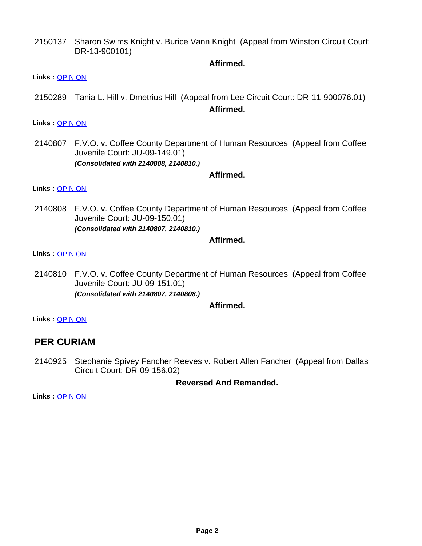Sharon Swims Knight v. Burice Vann Knight (Appeal from Winston Circuit Court: DR-13-900101) 2150137

#### **Affirmed.**

- **Links :** [OPINION](https://acis.alabama.gov/displaydocs.cfm?no=737064&event=4N10JTI2Q)
- 2150289 Tania L. Hill v. Dmetrius Hill (Appeal from Lee Circuit Court: DR-11-900076.01) **Affirmed.**

**Links :** [OPINION](https://acis.alabama.gov/displaydocs.cfm?no=737065&event=4N10JTI8D)

2140807 F.V.O. v. Coffee County Department of Human Resources (Appeal from Coffee Juvenile Court: JU-09-149.01) *(Consolidated with 2140808, 2140810.)*

#### **Affirmed.**

**Links :** [OPINION](https://acis.alabama.gov/displaydocs.cfm?no=737057&event=4N10JTFOX)

2140808 F.V.O. v. Coffee County Department of Human Resources (Appeal from Coffee Juvenile Court: JU-09-150.01) *(Consolidated with 2140807, 2140810.)*

#### **Affirmed.**

#### **Links :** [OPINION](https://acis.alabama.gov/displaydocs.cfm?no=737057&event=4N10JTFOX)

2140810 F.V.O. v. Coffee County Department of Human Resources (Appeal from Coffee Juvenile Court: JU-09-151.01) *(Consolidated with 2140807, 2140808.)*

#### **Affirmed.**

**Links :** [OPINION](https://acis.alabama.gov/displaydocs.cfm?no=737057&event=4N10JTFOX)

### **PER CURIAM**

2140925 Stephanie Spivey Fancher Reeves v. Robert Allen Fancher (Appeal from Dallas Circuit Court: DR-09-156.02)

**Reversed And Remanded.**

**Links :** [OPINION](https://acis.alabama.gov/displaydocs.cfm?no=737060&event=4N10JTHCQ)